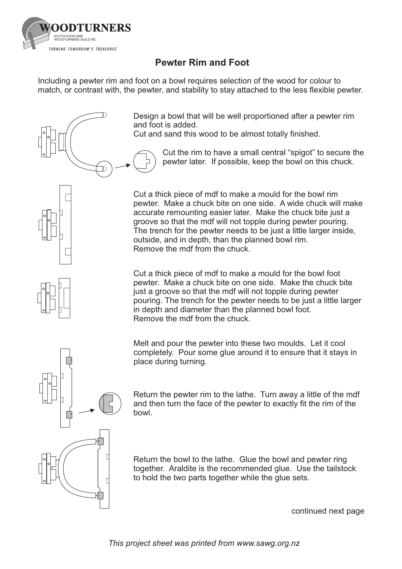

## **Pewter Rim and Foot**

Including a pewter rim and foot on a bowl requires selection of the wood for colour to match, or contrast with, the pewter, and stability to stay attached to the less flexible pewter.



Design a bowl that will be well proportioned after a pewter rim and foot is added.

Cut and sand this wood to be almost totally finished.

Cut the rim to have a small central "spigot" to secure the pewter later. If possible, keep the bowl on this chuck.

Cut a thick piece of mdf to make a mould for the bowl rim pewter. Make a chuck bite on one side. A wide chuck will make accurate remounting easier later. Make the chuck bite just a groove so that the mdf will not topple during pewter pouring. The trench for the pewter needs to be just a little larger inside, outside, and in depth, than the planned bowl rim. Remove the mdf from the chuck.

Cut a thick piece of mdf to make a mould for the bowl foot pewter. Make a chuck bite on one side. Make the chuck bite just a groove so that the mdf will not topple during pewter pouring. The trench for the pewter needs to be just a little larger in depth and diameter than the planned bowl foot. Remove the mdf from the chuck.

Melt and pour the pewter into these two moulds. Let it cool completely. Pour some glue around it to ensure that it stays in place during turning.

Return the pewter rim to the lathe. Turn away a little of the mdf and then turn the face of the pewter to exactly fit the rim of the bowl.

Return the bowl to the lathe. Glue the bowl and pewter ring together. Araldite is the recommended glue. Use the tailstock to hold the two parts together while the glue sets.

continued next page